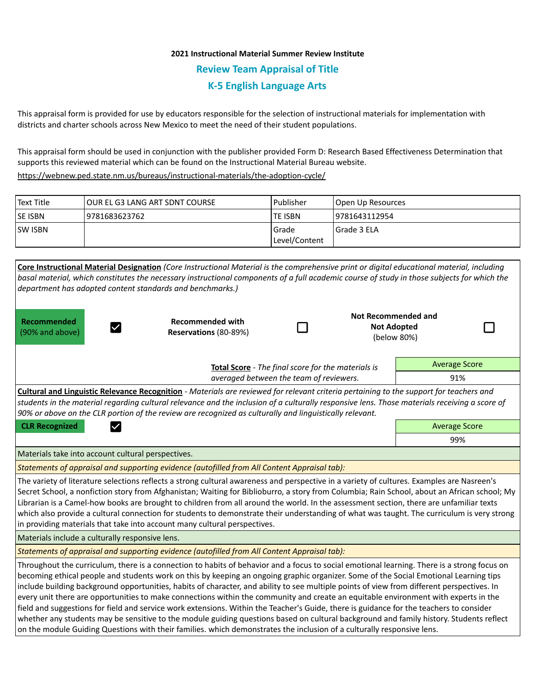# **2021 Instructional Material Summer Review Institute Review Team Appraisal of Title K-5 English Language Arts**

This appraisal form is provided for use by educators responsible for the selection of instructional materials for implementation with districts and charter schools across New Mexico to meet the need of their student populations.

This appraisal form should be used in conjunction with the publisher provided Form D: Research Based Effectiveness Determination that supports this reviewed material which can be found on the Instructional Material Bureau website.

<https://webnew.ped.state.nm.us/bureaus/instructional-materials/the-adoption-cycle/>

| Text Title     | TOUR EL G3 LANG ART SDNT COURSE | l Publisher               | Open Up Resources |
|----------------|---------------------------------|---------------------------|-------------------|
| <b>SE ISBN</b> | 9781683623762                   | lte ISBN                  | 19781643112954    |
| <b>SW ISBN</b> |                                 | l Grade<br> Level/Content | l Grade 3 ELA     |
|                |                                 |                           |                   |

| Core Instructional Material Designation (Core Instructional Material is the comprehensive print or digital educational material, including                                                                                                                                                                                                                                                                                                                                                                                                                                                                                                                                                                                                                                                                                                                                                                                                                                                |                                                  |                                                                            |                                                  |                      |  |  |  |  |  |
|-------------------------------------------------------------------------------------------------------------------------------------------------------------------------------------------------------------------------------------------------------------------------------------------------------------------------------------------------------------------------------------------------------------------------------------------------------------------------------------------------------------------------------------------------------------------------------------------------------------------------------------------------------------------------------------------------------------------------------------------------------------------------------------------------------------------------------------------------------------------------------------------------------------------------------------------------------------------------------------------|--------------------------------------------------|----------------------------------------------------------------------------|--------------------------------------------------|----------------------|--|--|--|--|--|
| basal material, which constitutes the necessary instructional components of a full academic course of study in those subjects for which the                                                                                                                                                                                                                                                                                                                                                                                                                                                                                                                                                                                                                                                                                                                                                                                                                                               |                                                  |                                                                            |                                                  |                      |  |  |  |  |  |
| department has adopted content standards and benchmarks.)                                                                                                                                                                                                                                                                                                                                                                                                                                                                                                                                                                                                                                                                                                                                                                                                                                                                                                                                 |                                                  |                                                                            |                                                  |                      |  |  |  |  |  |
| Recommended<br>(90% and above)                                                                                                                                                                                                                                                                                                                                                                                                                                                                                                                                                                                                                                                                                                                                                                                                                                                                                                                                                            | <b>Recommended with</b><br>Reservations (80-89%) |                                                                            | <b>Not Recommended and</b><br><b>Not Adopted</b> | (below 80%)          |  |  |  |  |  |
|                                                                                                                                                                                                                                                                                                                                                                                                                                                                                                                                                                                                                                                                                                                                                                                                                                                                                                                                                                                           |                                                  | <b>Average Score</b><br>Total Score - The final score for the materials is |                                                  |                      |  |  |  |  |  |
|                                                                                                                                                                                                                                                                                                                                                                                                                                                                                                                                                                                                                                                                                                                                                                                                                                                                                                                                                                                           | 91%                                              |                                                                            |                                                  |                      |  |  |  |  |  |
| Cultural and Linguistic Relevance Recognition - Materials are reviewed for relevant criteria pertaining to the support for teachers and<br>students in the material regarding cultural relevance and the inclusion of a culturally responsive lens. Those materials receiving a score of<br>90% or above on the CLR portion of the review are recognized as culturally and linguistically relevant.                                                                                                                                                                                                                                                                                                                                                                                                                                                                                                                                                                                       |                                                  |                                                                            |                                                  |                      |  |  |  |  |  |
| <b>CLR Recognized</b><br>$\checkmark$                                                                                                                                                                                                                                                                                                                                                                                                                                                                                                                                                                                                                                                                                                                                                                                                                                                                                                                                                     |                                                  |                                                                            |                                                  | <b>Average Score</b> |  |  |  |  |  |
|                                                                                                                                                                                                                                                                                                                                                                                                                                                                                                                                                                                                                                                                                                                                                                                                                                                                                                                                                                                           |                                                  | 99%                                                                        |                                                  |                      |  |  |  |  |  |
| Materials take into account cultural perspectives.                                                                                                                                                                                                                                                                                                                                                                                                                                                                                                                                                                                                                                                                                                                                                                                                                                                                                                                                        |                                                  |                                                                            |                                                  |                      |  |  |  |  |  |
| Statements of appraisal and supporting evidence (autofilled from All Content Appraisal tab):                                                                                                                                                                                                                                                                                                                                                                                                                                                                                                                                                                                                                                                                                                                                                                                                                                                                                              |                                                  |                                                                            |                                                  |                      |  |  |  |  |  |
| The variety of literature selections reflects a strong cultural awareness and perspective in a variety of cultures. Examples are Nasreen's<br>Secret School, a nonfiction story from Afghanistan; Waiting for Biblioburro, a story from Columbia; Rain School, about an African school; My<br>Librarian is a Camel-how books are brought to children from all around the world. In the assessment section, there are unfamiliar texts<br>which also provide a cultural connection for students to demonstrate their understanding of what was taught. The curriculum is very strong<br>in providing materials that take into account many cultural perspectives.                                                                                                                                                                                                                                                                                                                          |                                                  |                                                                            |                                                  |                      |  |  |  |  |  |
| Materials include a culturally responsive lens.                                                                                                                                                                                                                                                                                                                                                                                                                                                                                                                                                                                                                                                                                                                                                                                                                                                                                                                                           |                                                  |                                                                            |                                                  |                      |  |  |  |  |  |
| Statements of appraisal and supporting evidence (autofilled from All Content Appraisal tab):                                                                                                                                                                                                                                                                                                                                                                                                                                                                                                                                                                                                                                                                                                                                                                                                                                                                                              |                                                  |                                                                            |                                                  |                      |  |  |  |  |  |
| Throughout the curriculum, there is a connection to habits of behavior and a focus to social emotional learning. There is a strong focus on<br>becoming ethical people and students work on this by keeping an ongoing graphic organizer. Some of the Social Emotional Learning tips<br>include building background opportunities, habits of character, and ability to see multiple points of view from different perspectives. In<br>every unit there are opportunities to make connections within the community and create an equitable environment with experts in the<br>field and suggestions for field and service work extensions. Within the Teacher's Guide, there is guidance for the teachers to consider<br>whether any students may be sensitive to the module guiding questions based on cultural background and family history. Students reflect<br>on the module Guiding Questions with their families. which demonstrates the inclusion of a culturally responsive lens. |                                                  |                                                                            |                                                  |                      |  |  |  |  |  |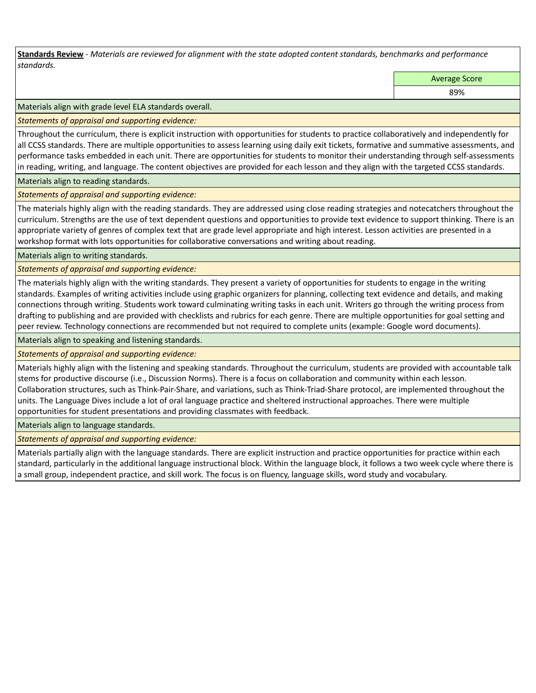**Standards Review** *- Materials are reviewed for alignment with the state adopted content standards, benchmarks and performance standards.*

Average Score

89%

Materials align with grade level ELA standards overall.

*Statements of appraisal and supporting evidence:* 

Throughout the curriculum, there is explicit instruction with opportunities for students to practice collaboratively and independently for all CCSS standards. There are multiple opportunities to assess learning using daily exit tickets, formative and summative assessments, and performance tasks embedded in each unit. There are opportunities for students to monitor their understanding through self-assessments in reading, writing, and language. The content objectives are provided for each lesson and they align with the targeted CCSS standards.

## Materials align to reading standards.

*Statements of appraisal and supporting evidence:* 

The materials highly align with the reading standards. They are addressed using close reading strategies and notecatchers throughout the curriculum. Strengths are the use of text dependent questions and opportunities to provide text evidence to support thinking. There is an appropriate variety of genres of complex text that are grade level appropriate and high interest. Lesson activities are presented in a workshop format with lots opportunities for collaborative conversations and writing about reading.

Materials align to writing standards.

*Statements of appraisal and supporting evidence:* 

The materials highly align with the writing standards. They present a variety of opportunities for students to engage in the writing standards. Examples of writing activities include using graphic organizers for planning, collecting text evidence and details, and making connections through writing. Students work toward culminating writing tasks in each unit. Writers go through the writing process from drafting to publishing and are provided with checklists and rubrics for each genre. There are multiple opportunities for goal setting and peer review. Technology connections are recommended but not required to complete units (example: Google word documents).

Materials align to speaking and listening standards.

*Statements of appraisal and supporting evidence:* 

Materials highly align with the listening and speaking standards. Throughout the curriculum, students are provided with accountable talk stems for productive discourse (i.e., Discussion Norms). There is a focus on collaboration and community within each lesson. Collaboration structures, such as Think-Pair-Share, and variations, such as Think-Triad-Share protocol, are implemented throughout the units. The Language Dives include a lot of oral language practice and sheltered instructional approaches. There were multiple opportunities for student presentations and providing classmates with feedback.

Materials align to language standards.

*Statements of appraisal and supporting evidence:* 

Materials partially align with the language standards. There are explicit instruction and practice opportunities for practice within each standard, particularly in the additional language instructional block. Within the language block, it follows a two week cycle where there is a small group, independent practice, and skill work. The focus is on fluency, language skills, word study and vocabulary.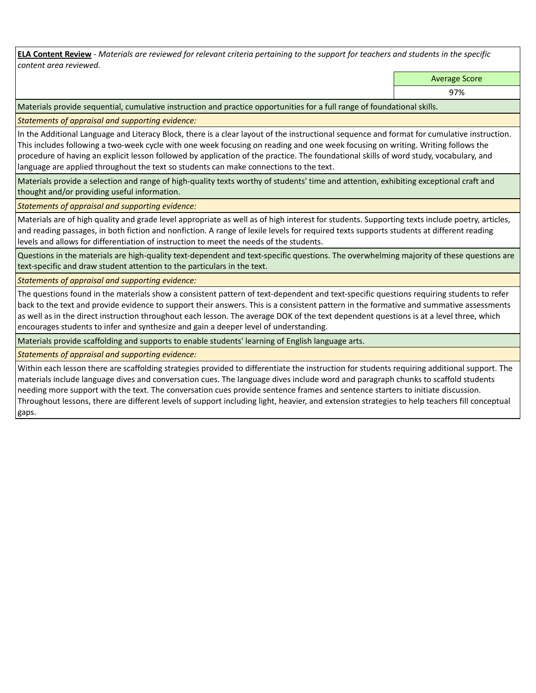**ELA Content Review** *- Materials are reviewed for relevant criteria pertaining to the support for teachers and students in the specific content area reviewed.*

Average Score

97%

Materials provide sequential, cumulative instruction and practice opportunities for a full range of foundational skills.

*Statements of appraisal and supporting evidence:* 

In the Additional Language and Literacy Block, there is a clear layout of the instructional sequence and format for cumulative instruction. This includes following a two-week cycle with one week focusing on reading and one week focusing on writing. Writing follows the procedure of having an explicit lesson followed by application of the practice. The foundational skills of word study, vocabulary, and language are applied throughout the text so students can make connections to the text.

Materials provide a selection and range of high-quality texts worthy of students' time and attention, exhibiting exceptional craft and thought and/or providing useful information.

*Statements of appraisal and supporting evidence:* 

Materials are of high quality and grade level appropriate as well as of high interest for students. Supporting texts include poetry, articles, and reading passages, in both fiction and nonfiction. A range of lexile levels for required texts supports students at different reading levels and allows for differentiation of instruction to meet the needs of the students.

Questions in the materials are high-quality text-dependent and text-specific questions. The overwhelming majority of these questions are text-specific and draw student attention to the particulars in the text.

*Statements of appraisal and supporting evidence:* 

The questions found in the materials show a consistent pattern of text-dependent and text-specific questions requiring students to refer back to the text and provide evidence to support their answers. This is a consistent pattern in the formative and summative assessments as well as in the direct instruction throughout each lesson. The average DOK of the text dependent questions is at a level three, which encourages students to infer and synthesize and gain a deeper level of understanding.

Materials provide scaffolding and supports to enable students' learning of English language arts.

*Statements of appraisal and supporting evidence:* 

Within each lesson there are scaffolding strategies provided to differentiate the instruction for students requiring additional support. The materials include language dives and conversation cues. The language dives include word and paragraph chunks to scaffold students needing more support with the text. The conversation cues provide sentence frames and sentence starters to initiate discussion. Throughout lessons, there are different levels of support including light, heavier, and extension strategies to help teachers fill conceptual gaps.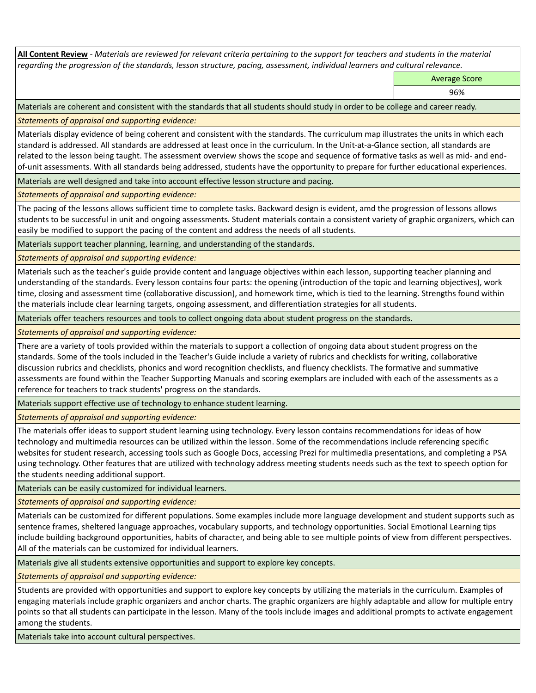**All Content Review** *- Materials are reviewed for relevant criteria pertaining to the support for teachers and students in the material regarding the progression of the standards, lesson structure, pacing, assessment, individual learners and cultural relevance.*

Average Score

96%

Materials are coherent and consistent with the standards that all students should study in order to be college and career ready.

*Statements of appraisal and supporting evidence:*

Materials display evidence of being coherent and consistent with the standards. The curriculum map illustrates the units in which each standard is addressed. All standards are addressed at least once in the curriculum. In the Unit-at-a-Glance section, all standards are related to the lesson being taught. The assessment overview shows the scope and sequence of formative tasks as well as mid- and endof-unit assessments. With all standards being addressed, students have the opportunity to prepare for further educational experiences.

Materials are well designed and take into account effective lesson structure and pacing.

*Statements of appraisal and supporting evidence:*

The pacing of the lessons allows sufficient time to complete tasks. Backward design is evident, amd the progression of lessons allows students to be successful in unit and ongoing assessments. Student materials contain a consistent variety of graphic organizers, which can easily be modified to support the pacing of the content and address the needs of all students.

Materials support teacher planning, learning, and understanding of the standards.

*Statements of appraisal and supporting evidence:*

Materials such as the teacher's guide provide content and language objectives within each lesson, supporting teacher planning and understanding of the standards. Every lesson contains four parts: the opening (introduction of the topic and learning objectives), work time, closing and assessment time (collaborative discussion), and homework time, which is tied to the learning. Strengths found within the materials include clear learning targets, ongoing assessment, and differentiation strategies for all students.

Materials offer teachers resources and tools to collect ongoing data about student progress on the standards.

*Statements of appraisal and supporting evidence:*

There are a variety of tools provided within the materials to support a collection of ongoing data about student progress on the standards. Some of the tools included in the Teacher's Guide include a variety of rubrics and checklists for writing, collaborative discussion rubrics and checklists, phonics and word recognition checklists, and fluency checklists. The formative and summative assessments are found within the Teacher Supporting Manuals and scoring exemplars are included with each of the assessments as a reference for teachers to track students' progress on the standards.

Materials support effective use of technology to enhance student learning.

*Statements of appraisal and supporting evidence:*

The materials offer ideas to support student learning using technology. Every lesson contains recommendations for ideas of how technology and multimedia resources can be utilized within the lesson. Some of the recommendations include referencing specific websites for student research, accessing tools such as Google Docs, accessing Prezi for multimedia presentations, and completing a PSA using technology. Other features that are utilized with technology address meeting students needs such as the text to speech option for the students needing additional support.

Materials can be easily customized for individual learners.

*Statements of appraisal and supporting evidence:* 

Materials can be customized for different populations. Some examples include more language development and student supports such as sentence frames, sheltered language approaches, vocabulary supports, and technology opportunities. Social Emotional Learning tips include building background opportunities, habits of character, and being able to see multiple points of view from different perspectives. All of the materials can be customized for individual learners.

Materials give all students extensive opportunities and support to explore key concepts.

*Statements of appraisal and supporting evidence:*

Students are provided with opportunities and support to explore key concepts by utilizing the materials in the curriculum. Examples of engaging materials include graphic organizers and anchor charts. The graphic organizers are highly adaptable and allow for multiple entry points so that all students can participate in the lesson. Many of the tools include images and additional prompts to activate engagement among the students.

Materials take into account cultural perspectives.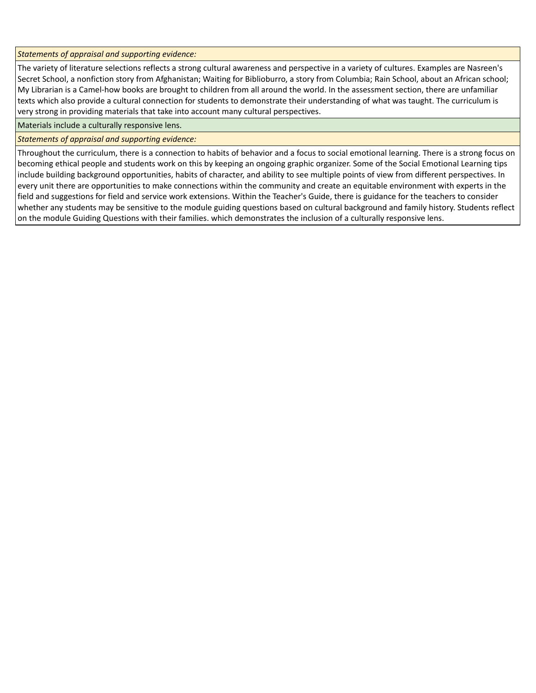*Statements of appraisal and supporting evidence:*

The variety of literature selections reflects a strong cultural awareness and perspective in a variety of cultures. Examples are Nasreen's Secret School, a nonfiction story from Afghanistan; Waiting for Biblioburro, a story from Columbia; Rain School, about an African school; My Librarian is a Camel-how books are brought to children from all around the world. In the assessment section, there are unfamiliar texts which also provide a cultural connection for students to demonstrate their understanding of what was taught. The curriculum is very strong in providing materials that take into account many cultural perspectives.

Materials include a culturally responsive lens.

*Statements of appraisal and supporting evidence:*

Throughout the curriculum, there is a connection to habits of behavior and a focus to social emotional learning. There is a strong focus on becoming ethical people and students work on this by keeping an ongoing graphic organizer. Some of the Social Emotional Learning tips include building background opportunities, habits of character, and ability to see multiple points of view from different perspectives. In every unit there are opportunities to make connections within the community and create an equitable environment with experts in the field and suggestions for field and service work extensions. Within the Teacher's Guide, there is guidance for the teachers to consider whether any students may be sensitive to the module guiding questions based on cultural background and family history. Students reflect on the module Guiding Questions with their families. which demonstrates the inclusion of a culturally responsive lens.